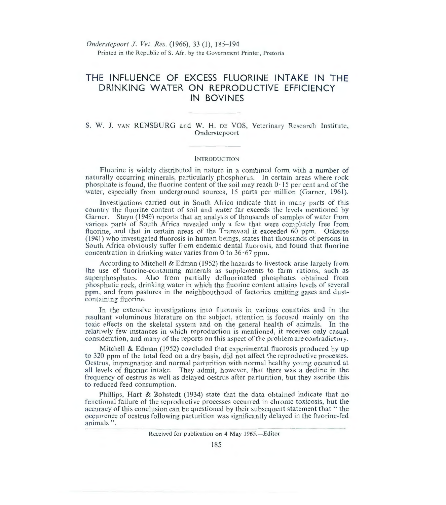*Onderstepoort* J. *Vet. Res.* (1966), 33 (1), 185- 194 Printed in the Republic of S. Afr. by the Government Printer, Pretoria

# **THE INFLUENCE OF EXCESS FLUORINE INTAKE IN THE DRINKING WATER ON REPRODUCTIVE EFFICIENCY IN BOVINES**

# S. W. J. VAN RENSBURG and W. H. DE VOS, Veterinary Research Institute, **Onderstepoort**

# **INTRODUCTION**

Fluorine is widely distributed in nature in a combined form with a number of naturally occurring minerals, particularly phosphorus. In certain areas where rock phosphate is found, the fluorine content of the soil may reach  $0 \cdot 15$  per cent and of the water, especially from underground sources, 15 parts per million (Garner, 1961).

Investigations carried out in South Africa indicate that in many parts of this country the fluorine content of soil and water far exceeds the levels mentioned by Garner. Steyn (1949) reports that an analysis of thousands of samples of water from various parts of South Africa revealed only a few that were completely free from fluorine, and that in certain areas of the Transvaal it exceeded 60 ppm. Ockerse  $(1941)$  who investigated fluorosis in human beings, states that thousands of persons in South Africa obviously suffer from endemic dental fluorosis, and found that fluorine concentration in drinking water varies from 0 to  $36 \cdot 67$  ppm.

According to Mitchell & Edman  $(1952)$  the hazards to livestock arise largely from the use of fluorine-containing minerals as supplements to farm rations, such as superphosphates. Also from partially defluorinated phosphates obtained from phosphatic rock, drinking water in which the fluorine content attains levels of several ppm, and from pastures in the neighbourhood of factories emitting gases and dustcontaining fluorine.

In the extensive investigations into fluorosis in various countries and in the resultant voluminous literature on the subject, attention is focused mainly on the toxic effects on the skeletal system and on the general health of animals. In the relatively few instances in which reproduction is mentioned, it receives only casual consideration, and many of the reports on this aspect of the problem are contradictory.

Mitchell & Edman (1952) concluded that experimental fluorosis produced by up to 320 ppm of the total feed on a dry basis, did not affect the reproductive processes. Oestrus, impregnation and normal parturition with normal healthy young occurred at all levels of fluorine intake. They admit, however, that there was a decline in the frequency of oestrus as well as delayed oestrus after parturition, but they ascribe this to reduced feed consumption.

Phillips, Hart & Bohstedt (1934) state that the data obtained indicate that no functional failure of the reproductive processes occurred in chronic toxicosis, but the accuracy of this conclusion can be questioned by their subsequent statement that "the occurrence of oestrus following parturition was significantly delayed in the fluorine-fed animals".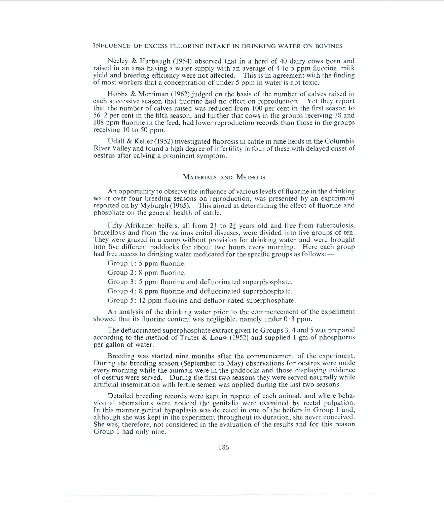Neeley & Harbaugh (1954) observed that in a herd of 40 dairy cows born and raised in an area having a water supply with an average of 4 to 5 ppm fluorine, milk yield and breeding efficiency were not affected. This is in agreement with the finding of most workers that a concentration of under 5 ppm in water is not toxic.

Hobbs & Merriman ( 1962) judged on the basis of the number of calves raised in each successive season that fluorine had no effect on reproduction. Yet they report that the number of calves raised was reduced from 100 per cent in the first season to  $56·2$  per cent in the fifth season, and further that cows in the groups receiving 78 and I 08 ppm fluorine in the feed, had lower reproduction records than those in the groups receiving 10 to 50 ppm.

Udall & Keller (1952) investigated fluorosis in cattle in nine herds in the Columbia River Va lley and found a high degree of infertility in four of these with delayed onset of oestrus after calving a prominent symptom.

## MATERIALS AND METHODS

An opportunity to observe the influence of various levels of fluorine in the drinking water over four breeding seasons on reproduction, was presented by an experiment reported on by Myburgh (1965). This aimed at determining the effect of fluorine and phosphate on the general health of cattle.

Fifty Afrikaner heifers, all from  $2\frac{1}{2}$  to  $2\frac{3}{2}$  years old and free from tuberculosis, brucellosis and from the various coita l diseases, were divided into five groups of ten. They were grazed in a camp without provision for drinking water and were brought into five different paddocks for about two hours every morning. Here each group had free access to drinking water medicated for the specific groups as follows:-

Group 1: 5 ppm fluorine.

Group 2: 8 ppm fluorine.

Group 3: 5 ppm fluorine and defluorinated superphosphate.

Group 4: 8 ppm fluorine and defluorinated superphosphate.

Group 5: 12 ppm fluorine and defluorinated superphosphate.

An analysis of the drinking water prior to the commencement of the experiment showed that its fluorine content was negligible, namely under  $0.3$  ppm.

The defluorinated superphosphate extract given to Groups 3, 4 and 5 was prepared according to the method of Truter & Louw (1952) and supplied l gm of phosphorus per gallon of water.

Breeding was started nine months after the commencement of the experiment. During the breeding season (September to May) observations for oestrus were made every morning while the animals were in the paddocks and those displaying evidence of oestrus were served. During the first two seasons they were served naturally while artificial insemination with fertile semen was applied during the last two seasons.

Detailed breeding records were kept in respect of each animal, and where behavioural aberrations were noticed the genitalia were examined by rectal palpation. In this manner genital hypoplasia was detected in one of the heifers in Group 1 and, although she was kept in the experiment throughout its duration, she never conceived. She was, therefore, not considered in the evaluation of the results and for this reason Group I had only nine.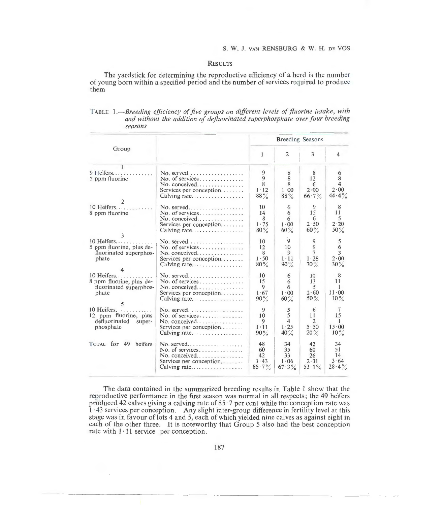### **RESULTS**

The yardstick for determining the reproductive efficiency of a herd is the number ·of young born within a specified period and the number of services required to produce them.

| seasons                                                                                |                                                                                                            |                                         |                                            |                                               |                                                         |  |  |  |
|----------------------------------------------------------------------------------------|------------------------------------------------------------------------------------------------------------|-----------------------------------------|--------------------------------------------|-----------------------------------------------|---------------------------------------------------------|--|--|--|
| Group                                                                                  |                                                                                                            | <b>Breeding Seasons</b>                 |                                            |                                               |                                                         |  |  |  |
|                                                                                        |                                                                                                            | 1                                       | $\mathfrak{D}$                             | 3                                             | $\overline{4}$                                          |  |  |  |
| $9$ Heifers<br>5 ppm fluorine<br>10 Heifers.                                           | $No. served \ldots \ldots \ldots$<br>No. of services<br>No. conceived<br>Services per conception           | 9<br>9<br>8<br>$1 - 12$<br>$88\%$<br>10 | 8<br>8<br>8<br>$1 \cdot 00$<br>$88\%$<br>6 | 8<br>12<br>6<br>$2 \cdot 00$<br>$66.7\%$<br>9 | 6<br>8<br>4<br>2.00<br>$44.4\%$<br>8                    |  |  |  |
| 8 ppm fluorine                                                                         | No. of services<br>No. conceived<br>Services per conception                                                | 14<br>8<br>1.75<br>$80\%$               | 6<br>6<br>1.00<br>$60\%$                   | 15<br>6<br>2.50<br>$60\%$                     | 11<br>5.<br>2.20<br>$50\%$                              |  |  |  |
| 10 Heifers<br>5 ppm fluorine, plus de-<br>fluorinated superphos-<br>phate              | No. of services<br>$No.$ conceived<br>Services per conception<br>Calving rate                              | 10<br>12<br>8<br>1.50<br>$80\%$         | 9<br>10<br>9<br>$1 - 11$<br>$90\%$         | 9<br>9<br>$\tau$<br>1.28<br>$70\%$            | 5<br>6<br>3<br>2.00<br>$30\%$                           |  |  |  |
| 10 Heifers<br>8 ppm fluorine, plus de-<br>fluorinated superphos-<br>phate              | No. of services<br>$No.$ conceived<br>Services per conception                                              | 10<br>15<br>9<br>1.67<br>90%            | 6<br>6<br>6<br>1.00<br>$60\%$              | 10<br>13<br>5<br>2.60<br>$50\%$               | 8<br>11<br>1<br>$11 \cdot 00$<br>$10\%$                 |  |  |  |
| $10$ Heifers. $\dots$<br>12 ppm fluorine, plus<br>defluorinated<br>super-<br>phosphate | No. served. $\dots \dots \dots \dots \dots$<br>No. of services<br>No. conceived<br>Services per conception | 9<br>10<br>9<br>1.11<br>90%             | 5<br>5<br>4<br>1.25<br>40 $\%$             | 6<br>11<br>$\overline{2}$<br>5.50<br>20%      | $\tau$<br>15<br>$\mathbf{1}$<br>$15 \cdot 00$<br>$10\%$ |  |  |  |
| TOTAL for 49<br>heifers                                                                | $No. served$<br>No. of services<br>No. conceived<br>Services per conception                                | 48<br>60<br>42<br>1.43<br>$85.7\%$      | 34<br>35<br>33<br>1.06<br>$67.3\%$         | 42<br>60<br>26<br>2.31<br>$53 \cdot 1\%$      | 34<br>51<br>14<br>3.64<br>$28.4\%$                      |  |  |  |

TABLE 1.-Breeding efficiency of five groups on different levels of fluorine intake, with *and without the addition of dej!uorinated superphosphate over four breeding seasons* 

The data contained in the summarized breeding results in Table 1 show that the reproductive performance in the first season was normal in all respects; the 49 heifers produced 42 calves giving a calving rate of  $85 \cdot 7$  per cent while the conception rate was 1·43 services per conception. Any slight inter-group difference in fertility level at this stage was in favour of lots 4 and 5, each of which yielded nine calves as against eight in each of the other three. It is noteworthy that Group 5 also had the best conception rate with  $1 \cdot 11$  service per conception.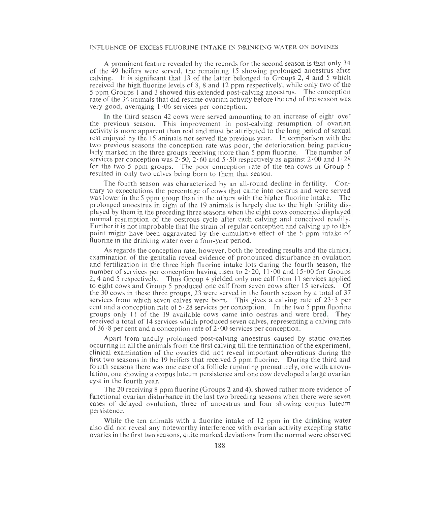A prominent feature revealed by the records for the second season is that only 34 of the 49 heifers were served, the remaining 15 showing prolonged anoestrus after calving. It is significant that 13 of the latter belonged to Groups 2, 4 and 5 which received the high fluorine levels of 8, 8 and 12 ppm respectively, while only two of the 5 ppm Groups I and 3 showed this extended post-calving anoestrus. The conception rate of the 34 animals that did resume ovarian activity before the end of the season was very good, averaging  $1.06$  services per conception.

In the third season 42 cows were served amounting to an increase of eight over the previous season. This improvement in post-calving resumption of ovarian activity is more apparent than real and must be attributed to the long period of sexual rest enjoyed by the 15 animals not served the previous year. In comparison with the two previous seasons the conception rate was poor, the deterioration being particularly marked in the three groups receiving more than 5 ppm fluorine. The number of services per conception was  $2 \cdot 50$ ,  $2 \cdot 60$  and  $5 \cdot 50$  respectively as against  $2 \cdot 00$  and  $1 \cdot 28$ for the two 5 ppm groups. The poor conception rate of the ten cows in Group 5 resulted in only two calves being born to them that season.

The fourth season was characterized by an all-round decline in fertility. Contrary to expectations the percentage of cows that came into oestrus and were served was lower in the 5 ppm group than in the others with the higher fluorine intake. The prolonged anoestrus in eight of the 19 animals is largely due to the high fertility displayed by them in the preceding three seasons when the eight cows concerned displayed normal resumption of the oestrous cycle after each calving and conceived readily. Further it is not improbable that the strain of regular conception and calving up to this point might have been aggravated by the cumulative effect of the 5 ppm intake of fluorine in the drinking water over a four-year period.

As regards the conception rate, however, both the breeding results and the clinical examination of the genitalia reveal evidence of pronounced disturbance in ovulation and fertilization in the three high fluorine intake lots during the fourth season, the number of services per conception having risen to  $2 \cdot 20$ ,  $11 \cdot 00$  and  $15 \cdot 00$  for Groups 2, 4 and 5 respectively. Thus Group 4 yielded only one calf from 11 services applied to eight cows and Group 5 produced one calf from seven cows after 15 services. Of the 30 cows in these three groups, 23 were served in the fourth season by a total of 37 services from which seven calves were born. This gives a calving rate of  $23 \cdot 3$  per cent and a conception rate of  $5.28$  services per conception. In the two 5 ppm fluorine groups only 11 of the 19 available cows came into oestrus and were bred. They groups only 11 of the 19 available cows came into oestrus and were bred. received a total of 14 services which produced seven calves, representing a calving rate of 36  $\cdot$  8 per cent and a conception rate of 2 $\cdot$  00 services per conception.

Apart from unduly prolonged post-calving anoestrus caused by static ovaries occurring in all the animals from the first calving till the termination of the experiment, clinical examination of the ovaries did not reveal important aberrations during the first two seasons in the 19 heifers that received 5 ppm fluorine. During the third and fourth seasons there was one case of a follicle rupturing prematurely, one with anovulation, one showing a corpus luteum persistence and one cow developed a large ovarian cyst in the fourth year.

The 20 receiving 8 ppm fluorine (Groups 2 and 4), showed rather more evidence of functional ovarian disturbance in the last two breeding seasons when there were seven cases of delayed ovulation, three of anoestrus and four showing corpus luteum persistence.

While the ten animals with a fluorine intake of 12 ppm in the crinking water also did not reveal any noteworthy interference with ovarian activity excepting static ovaries in the first two seasons, quite marked deviations from the normal were observed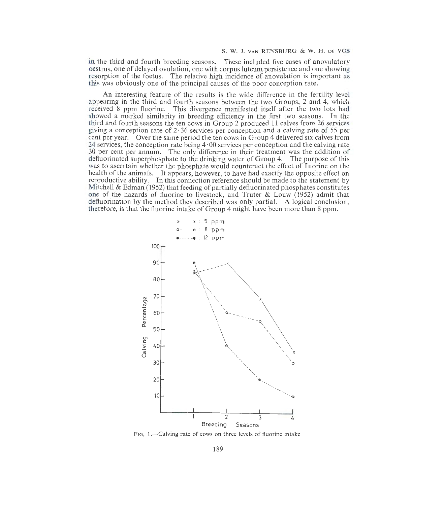### S. W. J. VAN RENSBURG & W. H. DE VOS

in the third and fourth breeding seasons. These included five cases of anovulatory oestrus, one of delayed ovulation, one with corpus luteum persistence and one showing resorption of the foetus. The relative high incidence of anovulation is important as this was obviously one of the principal causes of the poor conception rate.

An interesting feature of the results is the wide difference in the fertility level appearing in the third and fourth seasons between the two Groups, 2 and 4, which received 8 ppm fluorine. This divergence manifested itself after the two lots had showed a marked similarity in breeding efficiency in the first two seasons. In the third and fourth seasons the ten cows in Group 2 produced 11 calves from 26 services giving a conception rate of  $2 \cdot 36$  services per conception and a calving rate of 55 per cent per year. Over the same period the ten cows in Group 4 delivered six calves from 24 services, the conception rate being 4·00 services per conception and the calving rate 30 per cent per annum. The only difference in their treatment was the addition of defluorinated superphosphate to the drinking water of Group 4. The purpose of this was to ascertain whether the phosphate would counteract the effect of fluorine on the health of the animals. It appears, however, to have had exactly the opposite effect on reproductive ability. In this connection reference should be made to the statement by Mitchell  $\&$  Edman (1952) that feeding of partially defluorinated phosphates constitutes one of the hazards of fluorine to livestock, and Truter & Louw (1952) admit that defluorination by the method they described was only partial. A logical conclusion, therefore, is that the fluorine intake of Group 4 might have been more than 8 ppm.



FIG. 1.-Calving rate of cows on three levels of fluorine intake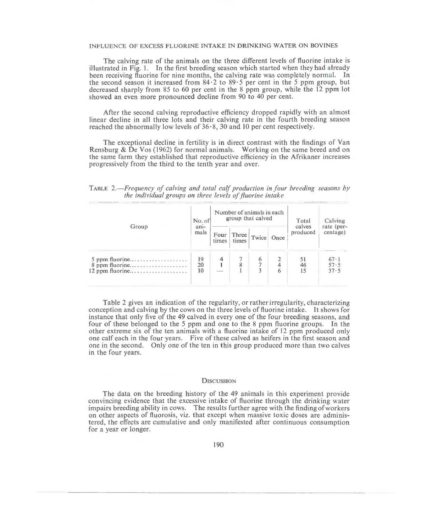The calving rate of the animals on the three different levels of fluorine intake is illustrated in Fig. l. ln the first breeding season which started when they had already been receiving fluorine for nine months, the calving rate was completely normal. In the second season it increased from  $84.2$  to  $89.5$  per cent in the 5 ppm group, but decreased sharply from 85 to 60 per cent in the 8 ppm group, while the 12 ppm lot showed an even more pronounced decline from 90 to 40 per cent.

After the second calving reproductive efficiency dropped rapidly with an almost linear decline in all three lots and their calving rate in the fourth breeding season reached the abnormally low levels of  $36 \cdot 8$ , 30 and 10 per cent respectively.

The exceptional decline in fertility is in direct contrast with the findings of Van Rensburg & De Vos (1962) for normal animals. Working on the same breed and on the same farm they established that reproductive efficiency in the Afrikaner increases progressively from the third to the tenth year and over.

TABLE *2.- Frequency of calving and total ca(f production in four breeding seasons by the individual groups on three levels of fluorine intake* 

| Group                              | No. of<br>$an-$<br>mals | Number of animals in each<br>group that calved |                |            | Total<br>calves | Calving<br>rate (per- |                              |
|------------------------------------|-------------------------|------------------------------------------------|----------------|------------|-----------------|-----------------------|------------------------------|
|                                    |                         | Four<br>times                                  | Three<br>times | Twice Once |                 | produced              | centage)                     |
| $5$ ppm fluorine<br>8 ppm fluorine | 19<br>20<br>10          | 4                                              |                | 6          | 6               | 51<br>46<br>15        | $67 \cdot 1$<br>57.5<br>37.5 |

Table 2 gives an indication of the regularity, or rather irregularity, characterizing conception and calving by the cows on the three levels of fluorine inta ke. It shows for instance that only five of the 49 calved in every one of the four breeding seasons, and four of these belonged to the 5 ppm and one to the 8 ppm fluorine groups. fn the other extreme six of the ten animals with a fluorine intake of 12 ppm produced only one calf each in the four years. Five of these calved as heifers in the first season and one in the second. Only one of the ten in this group produced more than two calves in the four years.

### **DISCUSSION**

The data on the breeding history of the 49 animals in this experiment provide convincing evidence that the excessive intake of fluorine through the drinking water impairs breeding ability in cows. The results further agree with the findingofworkers on other aspects of fluorosis, viz. that except when massive toxic doses are administered, the effects are cumulative and only manifested after continuous consumption for a year or longer.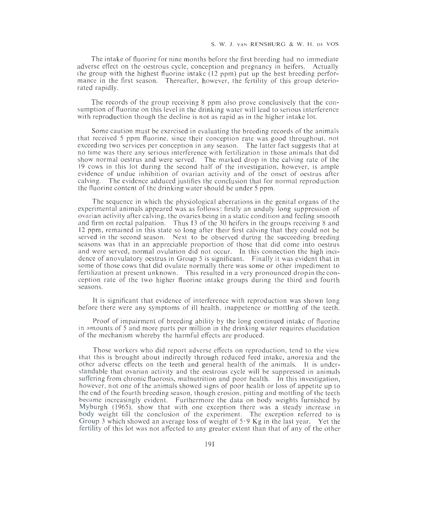The intake of fluorine for nine months before the first breeding had no immediate adverse effect on the oestrous cycle, conception and pregnancy in heifers. Actually the group with the highest fluorine intake  $(12 \text{ ppm})$  put up the best breeding performance in the first season. Thereafter, however, the fertility of this group deteriorated rapidly.

The records of the group receiving 8 ppm also prove conclusively that the consumption of fluorine on this level in the drinking water will lead to serious interference with reproduction though the decline is not as rapid as in the higher intake lot.

Some caution must be exercised in evaluating the breeding records of the animals that received 5 ppm fluorine, since their conception rate was good throughout, not exceeding two services per conception in any season. The latter fact suggests that at no time was there any serious interference with fertilization in those animals that did show normal oestrus and were served. The marked drop in the calving rate of the 19 cows in this lot during the second half of the investigation, however, is ample evidence of undue inhibition of ovarian activity and of the onset of oestrus after calving. The evidence adduced justifies the conclusion that for normal reproduction the fluorine content of the drinking water should be under 5 ppm.

The sequence in which the physiological aberrations in the genital organs of the experimental animals appeared was as follows: firstly an unduly long suppression of ovarian activity after calving, the ovaries being in a static condition and feeling smooth and firm on rectal palpation. Thus 13 of the 30 heifers in the groups receiving 8 and 12 ppm, remained in this state so long after their first calving that they could not be served in the second season. Next to be observed during the succeeding breeding seasons was that in an appreciable proportion of those that did come into oestrus and were served, normal ovulation did not occur. In this connection the high incidence of anovulatory oestrus in Group 5 is significant. Finally it was evident that in some of those cows that did ovulate normally there was some or other impediment to fertilization at present unknown. This resulted in a very pronounced drop in the conception rate of the two higher fluorine intake groups during the third and fourth seasons.

It is significant that evidence of interference with reproduction was shown long before there were any symptoms of ill health, inappetence or mottling of the teeth.

Proof of impairment of breeding ability by the long continued intake of fluorine in amounts of 5 and more parts per million in the drinking water requires elucidation of the mechanism whereby the harmful effects are produced.

Those workers who did report adverse effects on reproduction, tend to the view that this is brought about indirectly through reduced feed intake, anorexia and the other adverse effects on the teeth and general health of the animals. It is understandable that ovarian activity and the oestrous cycle will be suppressed in animals suffering from chronic fluorosis, malnutrition and poor health. In this investigation, however, not one of the animals showed signs of poor health or loss of appetite up to the end of the fourth breeding season, though erosion, pitting and mottling of the teeth became increasingly evident. Furthermore the data on body weights furnished by Myburgh  $(1965)$ , show that with one exception there was a steady increase in body weight till the conclusion of the experiment. The exception referred to is Group 3 which showed an average loss of weight of  $5.9$  Kg in the last year. Yet the fertility of this lot was not affected to any greater extent than that of any of the other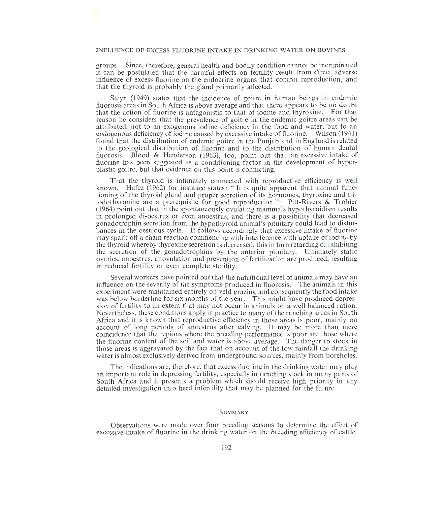groups. Since, therefore, general health and bodily condition cannot be incriminated it can be postulated that the harmful effects on fertility result from direct adverse influence of excess fluorine on the endocrine organs that control reproduction, and that the thyroid is probably the gland primarily affected.

Steyn (1949) states that the incidence of goitre in human beings in endemic fluorosis areas in South Africa is above average and that there appears to be no doubt that the action of fluorine is antagonistic to that of iodine and thyroxine. For that reason he considers that the prevalence of goitre in the endemic goitre areas can be attributed, not to an exogenous iodine deficiency in the food and water, but to an endogenous deficiency of iodine caused by excessive intake of fluorine. Wilson (1941) found that the distribution of endemic goitre in the Punjab and in England is related to the geological distribution of fluorine and to the distribution of human dental fluorosis. Blood & Henderson (1963), too, point out that an excessive intake of fluorine has been suggested as a conditioning factor in the development of hyperplastic goitre, but that evidence on this point is conflicting.

That the thyroid is intimately connected with reproductive efficiency is well known. Hafez (1962) for instance states: "It is quite apparent that normal functioning of the thyroid gland and proper secretion of its hormones, thyroxine and triiodothyronine are a prerequisite for good reproduction". Pitt-Rivers & Trobler (1964) point out that in the spontaneously ovulating mammals hypothyroidism results in prolonged di-oestrus or even anoestrus, and there is a possibility that decreased gonadotrophin secretion from the hypothyroid animal's pituitary could lead to disturbances in the oestrous cycle. It follows accordingly that excessive intake of fluorine may spark off a chain reaction commencing with interference with uptake of iodine by the thyroid whereby thyroxine secretion is decreased, this in turn retarding or inhibiting the secretion of the gonadotrophins by the anterior pituitary. Ultimately static ovaries, anoestrus, anovulation and prevention of fertilization are produced, resulting in reduced fertility or even complete sterility.

Several workers have pointed out that the nutritional level of animals may have an influence on the severity of the symptoms produced in fluorosis. The animals in this experiment were maintained entirely on veld grazing and consequently the food intake was below borderline for six months of the year. This might have produced depression of fertility to an extent that may not occur in animals on a well balanced ration. Nevertheless, these conditions apply in practice to many of the ranching areas in South Africa and it is known that reproductive efficiency in those areas is poor, mainly on account of long periods of anoestrus after calving. It may be more than mere coincidence that the regions where the breeding performance is poor are those where the fluorine content of the soil and water is above average. The danger to stock in those areas is aggravated by the fact that on account of the low rainfall the drinking water is almost exclusively derived from underground sources, mainly from boreholes.

The indications are, therefore, that excess fluorine in the drinking water may play an important role in depressing fertility, especially in ranching stock in many parts of South Africa and it presents a problem which should receive high priority in any detailed investigation into herd infertility that may be planned for the future.

## SUMMARY

Observations were made over four breeding seasons to determine the effect of excessive intake of fluorine in the drinking water on the breeding efficiency of cattle.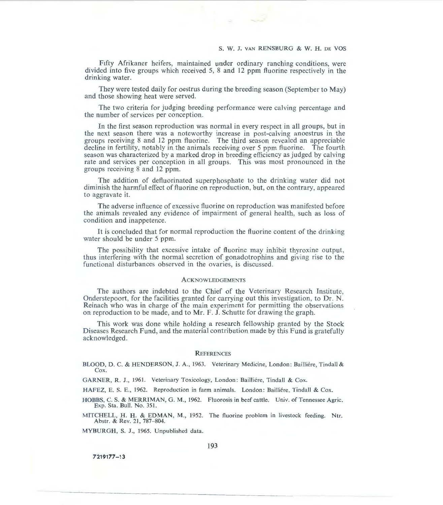Fifty Afrikaner heifers, maintained under ordinary ranching conditions, were divided into five groups which received 5, 8 and 12 ppm fluorine respectively in the drinking water.

They were tested daily for oestrus during the breeding season (September to May) and those showing heat were served.

The two criteria for judging breeding performance were calving percentage and the number of services per conception.

In the first season reproduction was normal in every respect in all groups, but in the next season there was a noteworthy increase in post-calving anoestrus in the groups receiving 8 and 12 ppm fluorine. The third season revealed an appreciable decline in fertility, notably in the animals receiving over 5 ppm fluorine. The fourth season was characterized by a marked drop in breeding efficiency as judged by calving rate and services per conception in all groups. This was most pronounced in the groups receiving 8 and 12 ppm.

The addition of defluorinated superphosphate to the drinking water did not diminish the harmful effect of fluorine on reproduction, but, on the contrary, appeared to aggravate it.

The adverse influence of excessive fluorine on reproduction was manifested before the animals revealed any evidence of impairment of general health, such as loss of condition and inappetence.

It is concluded that for normal reproduction the fluorine content of the drinking water should be under 5 ppm.

The possibility that excessive intake of fluorine may inhibit thyroxine output, thus interfering with the normal secretion of gonadotrophins and giving rise to the functional disturbances observed in the ovaries, is discussed.

## **ACKNOWLEDGEMENTS**

The authors are indebted to the Chief of the Veterinary Research Institute, Onderstepoort, for the facilities granted for carrying out this investigation, to Dr. N. Reinach who was in charge of the main experiment for permitting the observations on reproduction to be made, and to Mr. F. J. Schutte for drawing the graph.

This work was done while holding a research fellowship granted by the Stock Diseases Research Fund, and the material contribution made by this Fund is gratefully acknowledged.

### REFERENCES

BLOOD, D. C. & HENDERSON, J. A., 1963. Veterinary Medicine, London: Bailliére, Tindall & Cox.

GARNER, R. J., 1961. Veterinary Toxicology, London: Bailliére, Tindall & Cox.

HAFEZ, E. S. E., 1962. Reproduction in farm animals. London: Bailliere, Tindall & Cox.

HOBBS, C. S. & MERRIMAN, G. M., 1962. Fluorosis in beef cattle. Univ. of Tennessee Agric. Exp. Sta. Bull. No. 351.

MITCHELL, H. H. & EDMAN, M., 1952. The fluorine problem in livestock feeding. Ntr. Abstr. & Rev. 21, 787-804.

MYBURGH, S. J., 1965. Unpublished data.

**7219177-13**